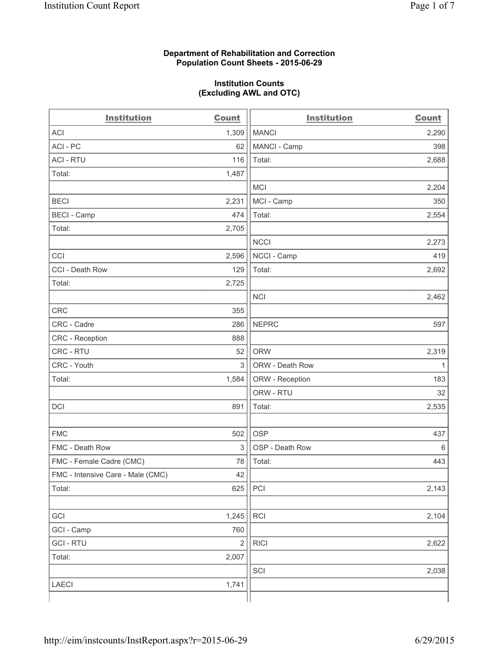## **Department of Rehabilitation and Correction Population Count Sheets - 2015-06-29**

## **Institution Counts (Excluding AWL and OTC)**

| <b>Institution</b>                | <b>Count</b>   | <b>Institution</b> | <b>Count</b> |
|-----------------------------------|----------------|--------------------|--------------|
| <b>ACI</b>                        | 1,309          | <b>MANCI</b>       | 2,290        |
| ACI-PC                            | 62             | MANCI - Camp       | 398          |
| <b>ACI - RTU</b>                  | 116            | Total:             | 2,688        |
| Total:                            | 1,487          |                    |              |
|                                   |                | <b>MCI</b>         | 2,204        |
| <b>BECI</b>                       | 2,231          | MCI - Camp         | 350          |
| <b>BECI - Camp</b>                | 474            | Total:             | 2,554        |
| Total:                            | 2,705          |                    |              |
|                                   |                | <b>NCCI</b>        | 2,273        |
| CCI                               | 2,596          | NCCI - Camp        | 419          |
| CCI - Death Row                   | 129            | Total:             | 2,692        |
| Total:                            | 2,725          |                    |              |
|                                   |                | <b>NCI</b>         | 2,462        |
| <b>CRC</b>                        | 355            |                    |              |
| CRC - Cadre                       | 286            | <b>NEPRC</b>       | 597          |
| CRC - Reception                   | 888            |                    |              |
| CRC - RTU                         | 52             | <b>ORW</b>         | 2,319        |
| CRC - Youth                       | 3              | ORW - Death Row    | 1            |
| Total:                            | 1,584          | ORW - Reception    | 183          |
|                                   |                | ORW - RTU          | 32           |
| DCI                               | 891            | Total:             | 2,535        |
|                                   |                |                    |              |
| <b>FMC</b>                        | 502            | <b>OSP</b>         | 437          |
| FMC - Death Row                   | 3              | OSP - Death Row    | 6            |
| FMC - Female Cadre (CMC)          | 78             | Total:             | 443          |
| FMC - Intensive Care - Male (CMC) | 42             |                    |              |
| Total:                            | 625            | PCI                | 2,143        |
|                                   |                |                    |              |
| GCI                               | 1,245          | RCI                | 2,104        |
| GCI - Camp                        | 760            |                    |              |
| <b>GCI-RTU</b>                    | $\overline{2}$ | <b>RICI</b>        | 2,622        |
| Total:                            | 2,007          |                    |              |
|                                   |                | SCI                | 2,038        |
| LAECI                             | 1,741          |                    |              |
|                                   |                |                    |              |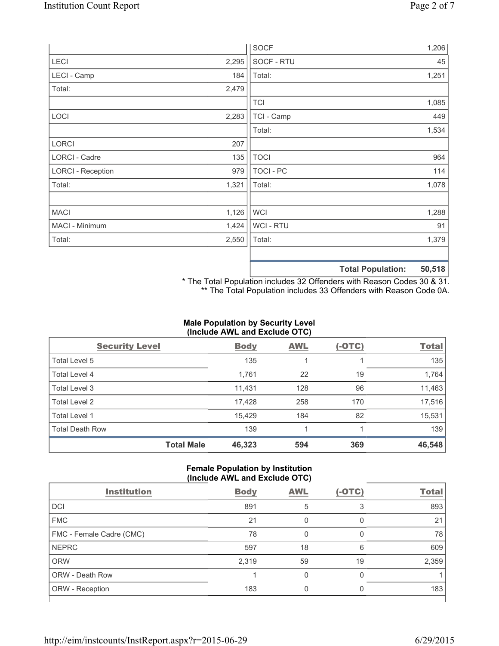|                          |       | <b>SOCF</b>      | 1,206                         |
|--------------------------|-------|------------------|-------------------------------|
| LECI                     | 2,295 | SOCF - RTU       | 45                            |
| LECI - Camp              | 184   | Total:           | 1,251                         |
| Total:                   | 2,479 |                  |                               |
|                          |       | <b>TCI</b>       | 1,085                         |
| LOCI                     | 2,283 | TCI - Camp       | 449                           |
|                          |       | Total:           | 1,534                         |
| LORCI                    | 207   |                  |                               |
| LORCI - Cadre            | 135   | <b>TOCI</b>      | 964                           |
| <b>LORCI - Reception</b> | 979   | <b>TOCI - PC</b> | 114                           |
| Total:                   | 1,321 | Total:           | 1,078                         |
|                          |       |                  |                               |
| <b>MACI</b>              | 1,126 | <b>WCI</b>       | 1,288                         |
| MACI - Minimum           | 1,424 | WCI - RTU        | 91                            |
| Total:                   | 2,550 | Total:           | 1,379                         |
|                          |       |                  |                               |
|                          |       |                  | EN E40<br>Tatal Damilation in |

**Total Population: 50,518**

\* The Total Population includes 32 Offenders with Reason Codes 30 & 31. \*\* The Total Population includes 33 Offenders with Reason Code 0A.

# **Male Population by Security Level (Include AWL and Exclude OTC)**

| <b>Security Level</b>  |                   | <b>Body</b> | <b>AWL</b> | $(-OTC)$ | <b>Total</b> |
|------------------------|-------------------|-------------|------------|----------|--------------|
| Total Level 5          |                   | 135         |            |          | 135          |
| <b>Total Level 4</b>   |                   | 1,761       | 22         | 19       | 1,764        |
| Total Level 3          |                   | 11,431      | 128        | 96       | 11,463       |
| Total Level 2          |                   | 17,428      | 258        | 170      | 17,516       |
| Total Level 1          |                   | 15,429      | 184        | 82       | 15,531       |
| <b>Total Death Row</b> |                   | 139         |            |          | 139          |
|                        | <b>Total Male</b> | 46,323      | 594        | 369      | 46,548       |

### **Female Population by Institution (Include AWL and Exclude OTC)**

| <b>Institution</b>       | <b>Body</b> | <b>AWL</b> | $(-OTC)$ | <b>Total</b> |
|--------------------------|-------------|------------|----------|--------------|
| <b>DCI</b>               | 891         | 5          | 3        | 893          |
| <b>FMC</b>               | 21          |            | 0        | 21           |
| FMC - Female Cadre (CMC) | 78          | 0          | 0        | 78           |
| <b>NEPRC</b>             | 597         | 18         | 6        | 609          |
| <b>ORW</b>               | 2,319       | 59         | 19       | 2,359        |
| <b>ORW - Death Row</b>   |             | U          | 0        |              |
| ORW - Reception          | 183         |            |          | 183          |
|                          |             |            |          |              |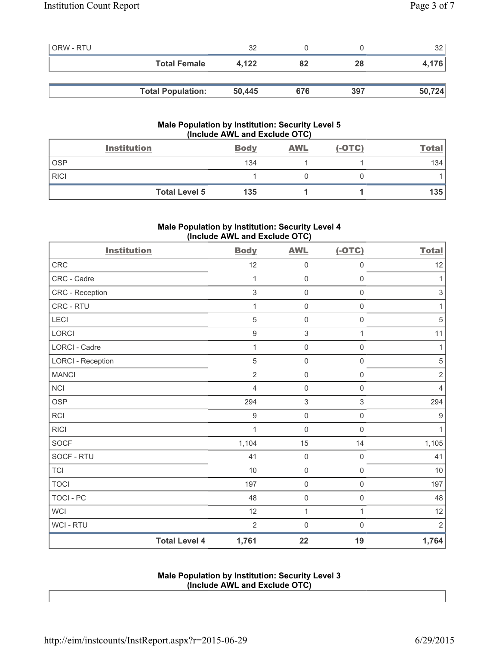| <b>ORW - RTU</b> |                          | 32     |     |     | 32     |
|------------------|--------------------------|--------|-----|-----|--------|
|                  | <b>Total Female</b>      | 4.122  | 82  | 28  | 4,176  |
|                  |                          |        |     |     |        |
|                  | <b>Total Population:</b> | 50,445 | 676 | 397 | 50,724 |

# **Male Population by Institution: Security Level 5 (Include AWL and Exclude OTC)**

|             | <b>Institution</b>   | <b>Body</b> | <b>AWL</b> | $(-OTC)$ | <b>Total</b> |
|-------------|----------------------|-------------|------------|----------|--------------|
| <b>OSP</b>  |                      | 134         |            |          | 134          |
| <b>RICI</b> |                      |             |            |          |              |
|             | <b>Total Level 5</b> | 135         |            |          | 135          |

# **Male Population by Institution: Security Level 4 (Include AWL and Exclude OTC)**

| <b>Institution</b>       |                      | <b>Body</b>    | <b>AWL</b>          | $(-OTC)$            | <b>Total</b>              |
|--------------------------|----------------------|----------------|---------------------|---------------------|---------------------------|
| <b>CRC</b>               |                      | 12             | 0                   | $\mathsf{O}\xspace$ | 12                        |
| CRC - Cadre              |                      | 1              | $\mathsf{O}\xspace$ | $\mathsf{O}\xspace$ | $\mathbf{1}$              |
| CRC - Reception          |                      | $\mathsf 3$    | $\mathsf{O}\xspace$ | $\mathsf{O}\xspace$ | $\ensuremath{\mathsf{3}}$ |
| CRC - RTU                |                      | 1              | $\mathbf 0$         | $\mathsf{O}\xspace$ | $\mathbf{1}$              |
| LECI                     |                      | 5              | $\mathsf{O}\xspace$ | $\mathsf 0$         | $\sqrt{5}$                |
| <b>LORCI</b>             |                      | $\mathsf g$    | $\sqrt{3}$          | $\mathbf{1}$        | 11                        |
| LORCI - Cadre            |                      | 1              | $\mathbf 0$         | $\mathsf 0$         | $\mathbf{1}$              |
| <b>LORCI - Reception</b> |                      | 5              | $\mathsf{O}\xspace$ | $\mathbf 0$         | $\sqrt{5}$                |
| <b>MANCI</b>             |                      | $\overline{2}$ | $\mathsf{O}\xspace$ | $\mathsf 0$         | $\overline{2}$            |
| <b>NCI</b>               |                      | $\overline{4}$ | $\mathsf{O}\xspace$ | $\mathsf{O}\xspace$ | $\overline{4}$            |
| <b>OSP</b>               |                      | 294            | 3                   | 3                   | 294                       |
| <b>RCI</b>               |                      | $9\,$          | $\mathsf{O}\xspace$ | $\mathsf 0$         | $9\,$                     |
| <b>RICI</b>              |                      | $\mathbf{1}$   | $\mathbf 0$         | $\mathsf{O}\xspace$ | $\mathbf{1}$              |
| <b>SOCF</b>              |                      | 1,104          | 15                  | 14                  | 1,105                     |
| SOCF - RTU               |                      | 41             | $\mathsf{O}\xspace$ | $\mathsf 0$         | 41                        |
| <b>TCI</b>               |                      | 10             | $\mathsf{O}\xspace$ | $\mathsf{O}\xspace$ | 10                        |
| <b>TOCI</b>              |                      | 197            | $\mathsf{O}\xspace$ | $\mathsf{O}\xspace$ | 197                       |
| <b>TOCI - PC</b>         |                      | 48             | $\mathsf{O}\xspace$ | $\mathsf 0$         | 48                        |
| <b>WCI</b>               |                      | 12             | $\mathbf{1}$        | $\mathbf{1}$        | 12                        |
| WCI - RTU                |                      | $\overline{2}$ | $\mathbf 0$         | $\mathsf{O}\xspace$ | $\overline{2}$            |
|                          | <b>Total Level 4</b> | 1,761          | 22                  | 19                  | 1,764                     |

## **Male Population by Institution: Security Level 3 (Include AWL and Exclude OTC)**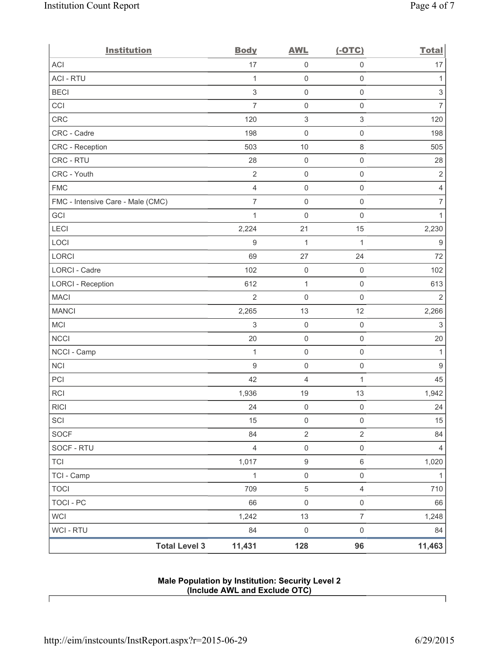| <b>Institution</b>                          | <b>Body</b>    | <b>AWL</b>          | $(-OTC)$            | <b>Total</b>              |
|---------------------------------------------|----------------|---------------------|---------------------|---------------------------|
| <b>ACI</b>                                  | 17             | $\mathsf{O}\xspace$ | $\mathsf{O}\xspace$ | 17                        |
| <b>ACI - RTU</b>                            | $\mathbf{1}$   | $\mathsf{O}\xspace$ | $\mathsf 0$         | 1                         |
| <b>BECI</b>                                 | $\mathsf 3$    | $\mathsf{O}\xspace$ | $\mathsf{O}\xspace$ | $\sqrt{3}$                |
| CCI                                         | $\overline{7}$ | $\mathsf{O}\xspace$ | $\mathsf{O}\xspace$ | $\overline{7}$            |
| <b>CRC</b>                                  | 120            | 3                   | $\mathsf 3$         | 120                       |
| CRC - Cadre                                 | 198            | $\mathsf{O}\xspace$ | $\mathsf{O}\xspace$ | 198                       |
| CRC - Reception                             | 503            | 10                  | $\,8\,$             | 505                       |
| CRC - RTU                                   | 28             | $\mathsf{O}\xspace$ | $\mathsf{O}\xspace$ | 28                        |
| CRC - Youth                                 | $\sqrt{2}$     | $\mathsf{O}\xspace$ | $\mathsf 0$         | $\sqrt{2}$                |
| <b>FMC</b>                                  | $\overline{4}$ | $\mathsf{O}\xspace$ | $\mathsf{O}\xspace$ | $\overline{4}$            |
| FMC - Intensive Care - Male (CMC)           | $\overline{7}$ | $\mathsf 0$         | $\mathsf{O}\xspace$ | $\overline{7}$            |
| GCI                                         | 1              | $\mathsf{O}\xspace$ | $\mathbf 0$         | 1                         |
| LECI                                        | 2,224          | 21                  | 15                  | 2,230                     |
| LOCI                                        | $\hbox{9}$     | $\mathbf{1}$        | 1                   | $\boldsymbol{9}$          |
| LORCI                                       | 69             | 27                  | 24                  | 72                        |
| <b>LORCI - Cadre</b>                        | 102            | $\mathsf 0$         | $\mathsf{O}\xspace$ | 102                       |
| <b>LORCI - Reception</b>                    | 612            | $\mathbf{1}$        | $\mathsf{O}\xspace$ | 613                       |
| <b>MACI</b>                                 | $\overline{2}$ | $\mathsf{O}\xspace$ | $\mathsf{O}\xspace$ | $\overline{2}$            |
| <b>MANCI</b>                                | 2,265          | 13                  | 12                  | 2,266                     |
| <b>MCI</b>                                  | $\mathsf 3$    | $\mathsf{O}\xspace$ | $\mathsf{O}\xspace$ | $\ensuremath{\mathsf{3}}$ |
| <b>NCCI</b>                                 | 20             | $\mathsf 0$         | $\mathsf{O}\xspace$ | 20                        |
| NCCI - Camp                                 | $\mathbf{1}$   | $\mathsf{O}\xspace$ | $\mathsf{O}\xspace$ | 1                         |
| <b>NCI</b>                                  | $\mathsf g$    | $\mathsf 0$         | $\mathsf{O}\xspace$ | $\boldsymbol{9}$          |
| PCI                                         | 42             | 4                   | $\mathbf{1}$        | 45                        |
| <b>RCI</b>                                  | 1,936          | 19                  | 13                  | 1,942                     |
| $\ensuremath{\mathsf{R}\mathsf{IC}}\xspace$ | 24             | $\mathsf 0$         | $\mathsf{O}\xspace$ | 24                        |
| SCI                                         | 15             | $\mathsf{O}\xspace$ | $\mathsf{O}\xspace$ | 15                        |
| SOCF                                        | 84             | $\overline{2}$      | $\overline{2}$      | 84                        |
| SOCF - RTU                                  | $\overline{4}$ | $\mathsf{O}\xspace$ | $\mathsf{O}\xspace$ | $\overline{4}$            |
| <b>TCI</b>                                  | 1,017          | $\boldsymbol{9}$    | $\,6\,$             | 1,020                     |
| TCI - Camp                                  | $\mathbf{1}$   | $\mathsf{O}\xspace$ | $\mathsf{O}\xspace$ | $\mathbf{1}$              |
| <b>TOCI</b>                                 | 709            | 5                   | $\overline{4}$      | 710                       |
| <b>TOCI - PC</b>                            | 66             | $\mathsf 0$         | $\mathsf{O}\xspace$ | 66                        |
| <b>WCI</b>                                  | 1,242          | 13                  | $\overline{7}$      | 1,248                     |
| WCI - RTU                                   | 84             | $\mathsf{O}\xspace$ | $\mathsf{O}\xspace$ | 84                        |
| <b>Total Level 3</b>                        | 11,431         | 128                 | 96                  | 11,463                    |

## **Male Population by Institution: Security Level 2 (Include AWL and Exclude OTC)**

 $\lceil$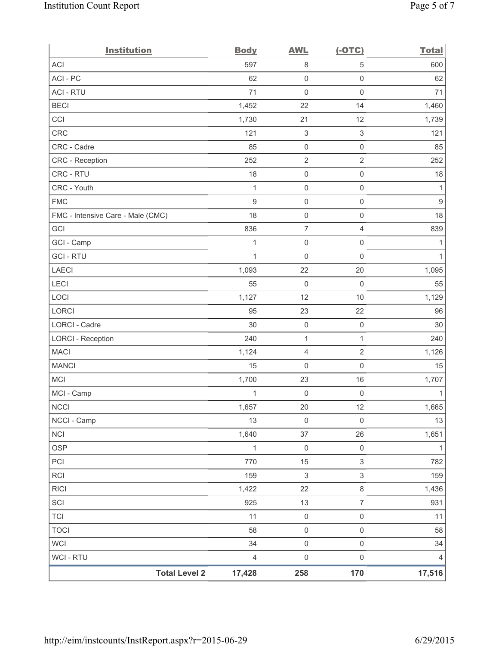| <b>Institution</b>                | <b>Body</b>      | <b>AWL</b>                | $(-OTC)$                  | <b>Total</b>     |
|-----------------------------------|------------------|---------------------------|---------------------------|------------------|
| <b>ACI</b>                        | 597              | $\,8\,$                   | 5                         | 600              |
| ACI - PC                          | 62               | $\mathsf{O}\xspace$       | 0                         | 62               |
| <b>ACI - RTU</b>                  | 71               | $\mathbf 0$               | $\mathsf{O}\xspace$       | 71               |
| <b>BECI</b>                       | 1,452            | 22                        | 14                        | 1,460            |
| CCI                               | 1,730            | 21                        | 12                        | 1,739            |
| <b>CRC</b>                        | 121              | $\ensuremath{\mathsf{3}}$ | $\ensuremath{\mathsf{3}}$ | 121              |
| CRC - Cadre                       | 85               | $\mathbf 0$               | $\mathsf 0$               | 85               |
| CRC - Reception                   | 252              | $\sqrt{2}$                | $\sqrt{2}$                | 252              |
| CRC - RTU                         | 18               | $\mathsf{O}\xspace$       | $\mathsf{O}\xspace$       | 18               |
| CRC - Youth                       | $\mathbf{1}$     | $\mathsf{O}\xspace$       | $\mathsf{O}\xspace$       | $\mathbf{1}$     |
| <b>FMC</b>                        | $\boldsymbol{9}$ | $\mathsf{O}\xspace$       | $\mathsf 0$               | $\boldsymbol{9}$ |
| FMC - Intensive Care - Male (CMC) | 18               | $\mathbf 0$               | $\mathsf 0$               | 18               |
| GCI                               | 836              | $\overline{7}$            | $\overline{4}$            | 839              |
| GCI - Camp                        | $\mathbf{1}$     | $\mathsf{O}\xspace$       | $\mathsf{O}\xspace$       | 1                |
| <b>GCI - RTU</b>                  | $\mathbf{1}$     | $\mathbf 0$               | $\mathsf{O}\xspace$       | $\mathbf{1}$     |
| <b>LAECI</b>                      | 1,093            | 22                        | 20                        | 1,095            |
| LECI                              | 55               | $\mathbf 0$               | $\mathsf{O}\xspace$       | 55               |
| LOCI                              | 1,127            | 12                        | $10$                      | 1,129            |
| LORCI                             | 95               | 23                        | 22                        | 96               |
| LORCI - Cadre                     | 30               | $\mathsf{O}\xspace$       | $\mathsf 0$               | 30               |
| <b>LORCI - Reception</b>          | 240              | $\mathbf{1}$              | 1                         | 240              |
| <b>MACI</b>                       | 1,124            | $\overline{4}$            | $\sqrt{2}$                | 1,126            |
| <b>MANCI</b>                      | 15               | $\mathbf 0$               | $\mathsf 0$               | 15               |
| <b>MCI</b>                        | 1,700            | 23                        | 16                        | 1,707            |
| MCI - Camp                        | 1                | $\mathsf 0$               | $\mathsf{O}\xspace$       | 1                |
| <b>NCCI</b>                       | 1,657            | 20                        | 12                        | 1,665            |
| NCCI - Camp                       | 13               | 0                         | $\mathbf 0$               | 13               |
| <b>NCI</b>                        | 1,640            | 37                        | 26                        | 1,651            |
| <b>OSP</b>                        | $\mathbf{1}$     | $\mathbf 0$               | $\mathsf{O}\xspace$       | $\mathbf{1}$     |
| PCI                               | 770              | 15                        | $\mathfrak{S}$            | 782              |
| RCI                               | 159              | $\ensuremath{\mathsf{3}}$ | 3                         | 159              |
| <b>RICI</b>                       | 1,422            | 22                        | $\,8\,$                   | 1,436            |
| SCI                               | 925              | 13                        | $\overline{7}$            | 931              |
| <b>TCI</b>                        | 11               | $\mathbf 0$               | $\mathsf{O}\xspace$       | 11               |
| <b>TOCI</b>                       | 58               | $\mathsf 0$               | $\mathsf 0$               | 58               |
| <b>WCI</b>                        | 34               | $\mathsf{O}\xspace$       | $\mathsf{O}\xspace$       | 34               |
| WCI - RTU                         | $\overline{4}$   | $\mathsf{O}\xspace$       | $\mathsf 0$               | 4                |
| <b>Total Level 2</b>              | 17,428           | 258                       | 170                       | 17,516           |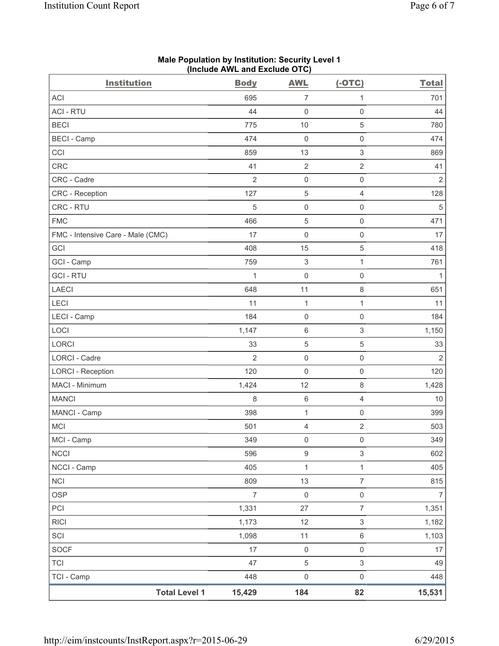| <b>Institution</b>                | <b>Body</b>    | <b>AWL</b>                | $(-OTC)$                | <b>Total</b>   |
|-----------------------------------|----------------|---------------------------|-------------------------|----------------|
| <b>ACI</b>                        | 695            | $\overline{7}$            | 1                       | 701            |
| <b>ACI - RTU</b>                  | 44             | $\mathsf{O}\xspace$       | $\mathsf{O}\xspace$     | 44             |
| <b>BECI</b>                       | 775            | $10$                      | 5                       | 780            |
| <b>BECI</b> - Camp                | 474            | $\mathsf{O}\xspace$       | $\mathsf{O}\xspace$     | 474            |
| CCI                               | 859            | 13                        | $\sqrt{3}$              | 869            |
| <b>CRC</b>                        | 41             | $\mathbf 2$               | $\sqrt{2}$              | 41             |
| CRC - Cadre                       | $\overline{2}$ | $\mathsf 0$               | $\mathsf 0$             | $\overline{2}$ |
| <b>CRC</b> - Reception            | 127            | $\mathbf 5$               | $\overline{4}$          | 128            |
| CRC - RTU                         | $\sqrt{5}$     | $\mathsf{O}\xspace$       | $\mathsf{O}\xspace$     | $\sqrt{5}$     |
| <b>FMC</b>                        | 466            | $\mathbf 5$               | $\mathsf 0$             | 471            |
| FMC - Intensive Care - Male (CMC) | 17             | 0                         | $\mathsf{O}\xspace$     | 17             |
| GCI                               | 408            | 15                        | 5                       | 418            |
| GCI - Camp                        | 759            | $\ensuremath{\mathsf{3}}$ | $\mathbf{1}$            | 761            |
| <b>GCI-RTU</b>                    | 1              | $\mathsf{O}\xspace$       | $\mathsf 0$             | 1              |
| LAECI                             | 648            | 11                        | $\,8\,$                 | 651            |
| LECI                              | 11             | $\mathbf{1}$              | $\mathbf{1}$            | 11             |
| LECI - Camp                       | 184            | $\mathsf{O}\xspace$       | $\mathbf 0$             | 184            |
| LOCI                              | 1,147          | 6                         | 3                       | 1,150          |
| LORCI                             | 33             | $\,$ 5 $\,$               | $\,$ 5 $\,$             | 33             |
| LORCI - Cadre                     | $\overline{2}$ | $\mathsf{O}\xspace$       | $\mathsf 0$             | $\overline{2}$ |
| <b>LORCI - Reception</b>          | 120            | $\mathsf{O}\xspace$       | $\mathsf 0$             | 120            |
| MACI - Minimum                    | 1,424          | 12                        | $\,8\,$                 | 1,428          |
| <b>MANCI</b>                      | 8              | 6                         | $\overline{\mathbf{4}}$ | $10$           |
| MANCI - Camp                      | 398            | $\mathbf{1}$              | $\mathsf{O}\xspace$     | 399            |
| MCI                               | 501            | 4                         | $\overline{2}$          | 503            |
| MCI - Camp                        | 349            | $\mathsf{O}\xspace$       | 0                       | 349            |
| <b>NCCI</b>                       | 596            | $\boldsymbol{9}$          | $\mathfrak{S}$          | 602            |
| NCCI - Camp                       | 405            | 1                         | 1                       | 405            |
| <b>NCI</b>                        | 809            | 13                        | $\overline{7}$          | 815            |
| <b>OSP</b>                        | $\overline{7}$ | $\mathsf 0$               | $\mathsf 0$             | $\overline{7}$ |
| PCI                               | 1,331          | 27                        | $\overline{7}$          | 1,351          |
| <b>RICI</b>                       | 1,173          | 12                        | $\mathfrak{S}$          | 1,182          |
| SCI                               | 1,098          | 11                        | $\,6\,$                 | 1,103          |
| SOCF                              | 17             | $\mathsf{O}\xspace$       | $\mathsf 0$             | 17             |
| <b>TCI</b>                        | 47             | 5                         | $\mathsf 3$             | 49             |
| TCI - Camp                        | 448            | $\mathsf{O}\xspace$       | $\mathsf{O}\xspace$     | 448            |
| <b>Total Level 1</b>              | 15,429         | 184                       | 82                      | 15,531         |

## **Male Population by Institution: Security Level 1 (Include AWL and Exclude OTC)**